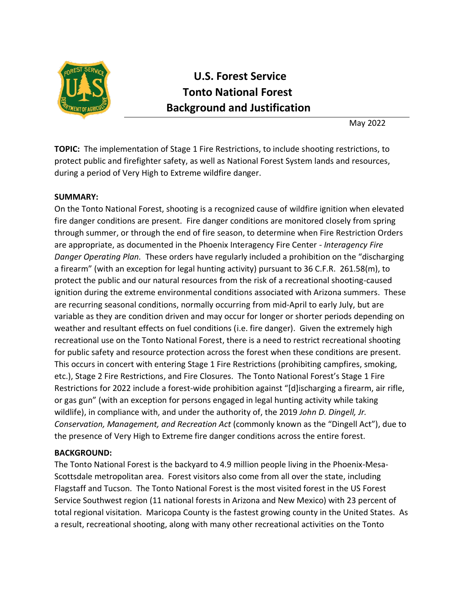

# **U.S. Forest Service Tonto National Forest Background and Justification**

May 2022

**TOPIC:** The implementation of Stage 1 Fire Restrictions, to include shooting restrictions, to protect public and firefighter safety, as well as National Forest System lands and resources, during a period of Very High to Extreme wildfire danger.

## **SUMMARY:**

On the Tonto National Forest, shooting is a recognized cause of wildfire ignition when elevated fire danger conditions are present. Fire danger conditions are monitored closely from spring through summer, or through the end of fire season, to determine when Fire Restriction Orders are appropriate, as documented in the Phoenix Interagency Fire Center *- Interagency Fire Danger Operating Plan.* These orders have regularly included a prohibition on the "discharging a firearm" (with an exception for legal hunting activity) pursuant to 36 C.F.R. 261.58(m), to protect the public and our natural resources from the risk of a recreational shooting-caused ignition during the extreme environmental conditions associated with Arizona summers. These are recurring seasonal conditions, normally occurring from mid-April to early July, but are variable as they are condition driven and may occur for longer or shorter periods depending on weather and resultant effects on fuel conditions (i.e. fire danger). Given the extremely high recreational use on the Tonto National Forest, there is a need to restrict recreational shooting for public safety and resource protection across the forest when these conditions are present. This occurs in concert with entering Stage 1 Fire Restrictions (prohibiting campfires, smoking, etc.), Stage 2 Fire Restrictions, and Fire Closures. The Tonto National Forest's Stage 1 Fire Restrictions for 2022 include a forest-wide prohibition against "[d]ischarging a firearm, air rifle, or gas gun" (with an exception for persons engaged in legal hunting activity while taking wildlife), in compliance with, and under the authority of, the 2019 *John D. Dingell, Jr. Conservation, Management, and Recreation Act* (commonly known as the "Dingell Act"), due to the presence of Very High to Extreme fire danger conditions across the entire forest.

## **BACKGROUND:**

The Tonto National Forest is the backyard to 4.9 million people living in the Phoenix-Mesa-Scottsdale metropolitan area. Forest visitors also come from all over the state, including Flagstaff and Tucson. The Tonto National Forest is the most visited forest in the US Forest Service Southwest region (11 national forests in Arizona and New Mexico) with 23 percent of total regional visitation. Maricopa County is the fastest growing county in the United States. As a result, recreational shooting, along with many other recreational activities on the Tonto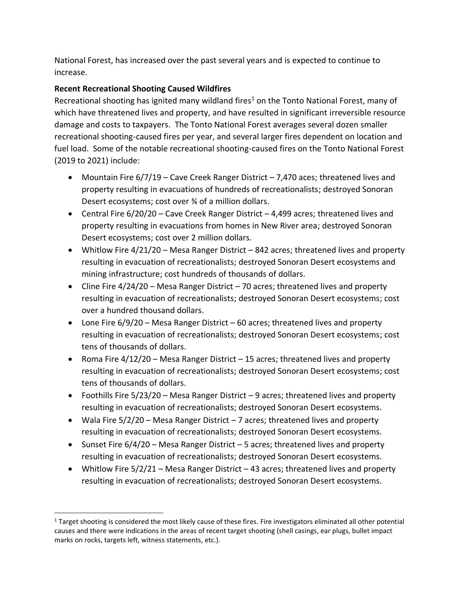National Forest, has increased over the past several years and is expected to continue to increase.

# **Recent Recreational Shooting Caused Wildfires**

Recreational shooting has ignited many wildland fires<sup>1</sup> on the Tonto National Forest, many of which have threatened lives and property, and have resulted in significant irreversible resource damage and costs to taxpayers. The Tonto National Forest averages several dozen smaller recreational shooting-caused fires per year, and several larger fires dependent on location and fuel load. Some of the notable recreational shooting-caused fires on the Tonto National Forest (2019 to 2021) include:

- Mountain Fire  $6/7/19$  Cave Creek Ranger District 7,470 aces; threatened lives and property resulting in evacuations of hundreds of recreationalists; destroyed Sonoran Desert ecosystems; cost over ¾ of a million dollars.
- Central Fire 6/20/20 Cave Creek Ranger District 4,499 acres; threatened lives and property resulting in evacuations from homes in New River area; destroyed Sonoran Desert ecosystems; cost over 2 million dollars.
- Whitlow Fire 4/21/20 Mesa Ranger District 842 acres; threatened lives and property resulting in evacuation of recreationalists; destroyed Sonoran Desert ecosystems and mining infrastructure; cost hundreds of thousands of dollars.
- Cline Fire 4/24/20 Mesa Ranger District 70 acres; threatened lives and property resulting in evacuation of recreationalists; destroyed Sonoran Desert ecosystems; cost over a hundred thousand dollars.
- Lone Fire 6/9/20 Mesa Ranger District 60 acres; threatened lives and property resulting in evacuation of recreationalists; destroyed Sonoran Desert ecosystems; cost tens of thousands of dollars.
- Roma Fire 4/12/20 Mesa Ranger District 15 acres; threatened lives and property resulting in evacuation of recreationalists; destroyed Sonoran Desert ecosystems; cost tens of thousands of dollars.
- Foothills Fire 5/23/20 Mesa Ranger District 9 acres; threatened lives and property resulting in evacuation of recreationalists; destroyed Sonoran Desert ecosystems.
- Wala Fire 5/2/20 Mesa Ranger District 7 acres; threatened lives and property resulting in evacuation of recreationalists; destroyed Sonoran Desert ecosystems.
- Sunset Fire 6/4/20 Mesa Ranger District 5 acres; threatened lives and property resulting in evacuation of recreationalists; destroyed Sonoran Desert ecosystems.
- Whitlow Fire 5/2/21 Mesa Ranger District 43 acres; threatened lives and property resulting in evacuation of recreationalists; destroyed Sonoran Desert ecosystems.

 $1$  Target shooting is considered the most likely cause of these fires. Fire investigators eliminated all other potential causes and there were indications in the areas of recent target shooting (shell casings, ear plugs, bullet impact marks on rocks, targets left, witness statements, etc.).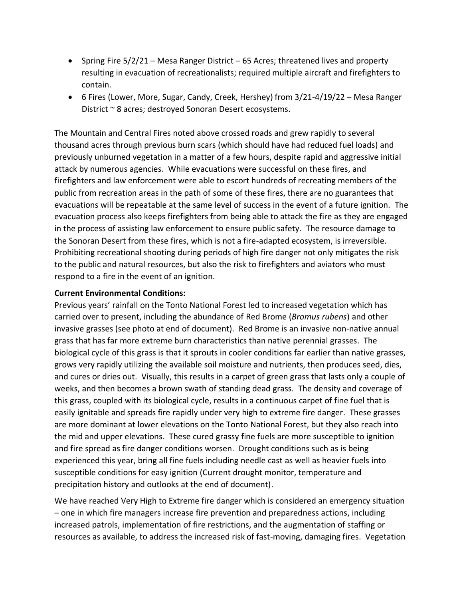- Spring Fire 5/2/21 Mesa Ranger District 65 Acres; threatened lives and property resulting in evacuation of recreationalists; required multiple aircraft and firefighters to contain.
- 6 Fires (Lower, More, Sugar, Candy, Creek, Hershey) from 3/21-4/19/22 Mesa Ranger District ~ 8 acres; destroyed Sonoran Desert ecosystems.

The Mountain and Central Fires noted above crossed roads and grew rapidly to several thousand acres through previous burn scars (which should have had reduced fuel loads) and previously unburned vegetation in a matter of a few hours, despite rapid and aggressive initial attack by numerous agencies. While evacuations were successful on these fires, and firefighters and law enforcement were able to escort hundreds of recreating members of the public from recreation areas in the path of some of these fires, there are no guarantees that evacuations will be repeatable at the same level of success in the event of a future ignition. The evacuation process also keeps firefighters from being able to attack the fire as they are engaged in the process of assisting law enforcement to ensure public safety. The resource damage to the Sonoran Desert from these fires, which is not a fire-adapted ecosystem, is irreversible. Prohibiting recreational shooting during periods of high fire danger not only mitigates the risk to the public and natural resources, but also the risk to firefighters and aviators who must respond to a fire in the event of an ignition.

#### **Current Environmental Conditions:**

Previous years' rainfall on the Tonto National Forest led to increased vegetation which has carried over to present, including the abundance of Red Brome (*Bromus rubens*) and other invasive grasses (see photo at end of document). Red Brome is an invasive non-native annual grass that has far more extreme burn characteristics than native perennial grasses. The biological cycle of this grass is that it sprouts in cooler conditions far earlier than native grasses, grows very rapidly utilizing the available soil moisture and nutrients, then produces seed, dies, and cures or dries out. Visually, this results in a carpet of green grass that lasts only a couple of weeks, and then becomes a brown swath of standing dead grass. The density and coverage of this grass, coupled with its biological cycle, results in a continuous carpet of fine fuel that is easily ignitable and spreads fire rapidly under very high to extreme fire danger. These grasses are more dominant at lower elevations on the Tonto National Forest, but they also reach into the mid and upper elevations. These cured grassy fine fuels are more susceptible to ignition and fire spread as fire danger conditions worsen. Drought conditions such as is being experienced this year, bring all fine fuels including needle cast as well as heavier fuels into susceptible conditions for easy ignition (Current drought monitor, temperature and precipitation history and outlooks at the end of document).

We have reached Very High to Extreme fire danger which is considered an emergency situation – one in which fire managers increase fire prevention and preparedness actions, including increased patrols, implementation of fire restrictions, and the augmentation of staffing or resources as available, to address the increased risk of fast-moving, damaging fires. Vegetation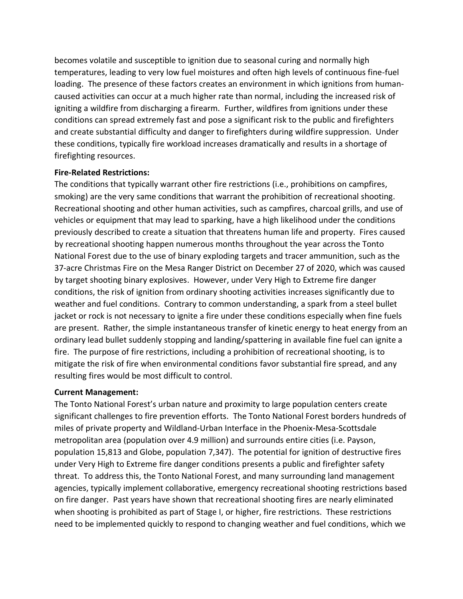becomes volatile and susceptible to ignition due to seasonal curing and normally high temperatures, leading to very low fuel moistures and often high levels of continuous fine-fuel loading. The presence of these factors creates an environment in which ignitions from humancaused activities can occur at a much higher rate than normal, including the increased risk of igniting a wildfire from discharging a firearm. Further, wildfires from ignitions under these conditions can spread extremely fast and pose a significant risk to the public and firefighters and create substantial difficulty and danger to firefighters during wildfire suppression. Under these conditions, typically fire workload increases dramatically and results in a shortage of firefighting resources.

## **Fire-Related Restrictions:**

The conditions that typically warrant other fire restrictions (i.e., prohibitions on campfires, smoking) are the very same conditions that warrant the prohibition of recreational shooting. Recreational shooting and other human activities, such as campfires, charcoal grills, and use of vehicles or equipment that may lead to sparking, have a high likelihood under the conditions previously described to create a situation that threatens human life and property. Fires caused by recreational shooting happen numerous months throughout the year across the Tonto National Forest due to the use of binary exploding targets and tracer ammunition, such as the 37-acre Christmas Fire on the Mesa Ranger District on December 27 of 2020, which was caused by target shooting binary explosives. However, under Very High to Extreme fire danger conditions, the risk of ignition from ordinary shooting activities increases significantly due to weather and fuel conditions. Contrary to common understanding, a spark from a steel bullet jacket or rock is not necessary to ignite a fire under these conditions especially when fine fuels are present. Rather, the simple instantaneous transfer of kinetic energy to heat energy from an ordinary lead bullet suddenly stopping and landing/spattering in available fine fuel can ignite a fire. The purpose of fire restrictions, including a prohibition of recreational shooting, is to mitigate the risk of fire when environmental conditions favor substantial fire spread, and any resulting fires would be most difficult to control.

#### **Current Management:**

The Tonto National Forest's urban nature and proximity to large population centers create significant challenges to fire prevention efforts. The Tonto National Forest borders hundreds of miles of private property and Wildland-Urban Interface in the Phoenix-Mesa-Scottsdale metropolitan area (population over 4.9 million) and surrounds entire cities (i.e. Payson, population 15,813 and Globe, population 7,347). The potential for ignition of destructive fires under Very High to Extreme fire danger conditions presents a public and firefighter safety threat. To address this, the Tonto National Forest, and many surrounding land management agencies, typically implement collaborative, emergency recreational shooting restrictions based on fire danger. Past years have shown that recreational shooting fires are nearly eliminated when shooting is prohibited as part of Stage I, or higher, fire restrictions. These restrictions need to be implemented quickly to respond to changing weather and fuel conditions, which we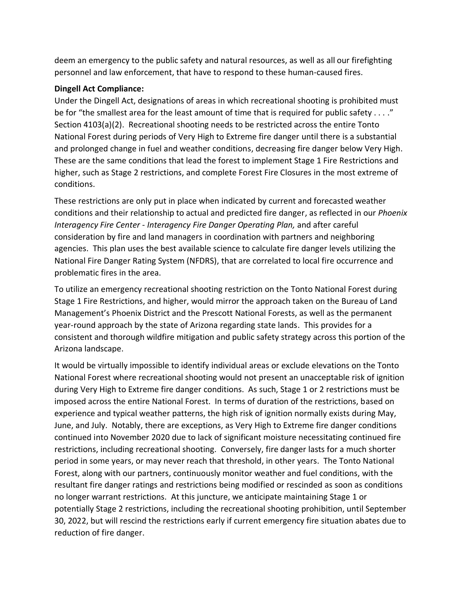deem an emergency to the public safety and natural resources, as well as all our firefighting personnel and law enforcement, that have to respond to these human-caused fires.

## **Dingell Act Compliance:**

Under the Dingell Act, designations of areas in which recreational shooting is prohibited must be for "the smallest area for the least amount of time that is required for public safety . . . ." Section 4103(a)(2). Recreational shooting needs to be restricted across the entire Tonto National Forest during periods of Very High to Extreme fire danger until there is a substantial and prolonged change in fuel and weather conditions, decreasing fire danger below Very High. These are the same conditions that lead the forest to implement Stage 1 Fire Restrictions and higher, such as Stage 2 restrictions, and complete Forest Fire Closures in the most extreme of conditions.

These restrictions are only put in place when indicated by current and forecasted weather conditions and their relationship to actual and predicted fire danger, as reflected in our *Phoenix Interagency Fire Center - Interagency Fire Danger Operating Plan,* and after careful consideration by fire and land managers in coordination with partners and neighboring agencies. This plan uses the best available science to calculate fire danger levels utilizing the National Fire Danger Rating System (NFDRS), that are correlated to local fire occurrence and problematic fires in the area.

To utilize an emergency recreational shooting restriction on the Tonto National Forest during Stage 1 Fire Restrictions, and higher, would mirror the approach taken on the Bureau of Land Management's Phoenix District and the Prescott National Forests, as well as the permanent year-round approach by the state of Arizona regarding state lands. This provides for a consistent and thorough wildfire mitigation and public safety strategy across this portion of the Arizona landscape.

It would be virtually impossible to identify individual areas or exclude elevations on the Tonto National Forest where recreational shooting would not present an unacceptable risk of ignition during Very High to Extreme fire danger conditions. As such, Stage 1 or 2 restrictions must be imposed across the entire National Forest. In terms of duration of the restrictions, based on experience and typical weather patterns, the high risk of ignition normally exists during May, June, and July. Notably, there are exceptions, as Very High to Extreme fire danger conditions continued into November 2020 due to lack of significant moisture necessitating continued fire restrictions, including recreational shooting. Conversely, fire danger lasts for a much shorter period in some years, or may never reach that threshold, in other years. The Tonto National Forest, along with our partners, continuously monitor weather and fuel conditions, with the resultant fire danger ratings and restrictions being modified or rescinded as soon as conditions no longer warrant restrictions. At this juncture, we anticipate maintaining Stage 1 or potentially Stage 2 restrictions, including the recreational shooting prohibition, until September 30, 2022, but will rescind the restrictions early if current emergency fire situation abates due to reduction of fire danger.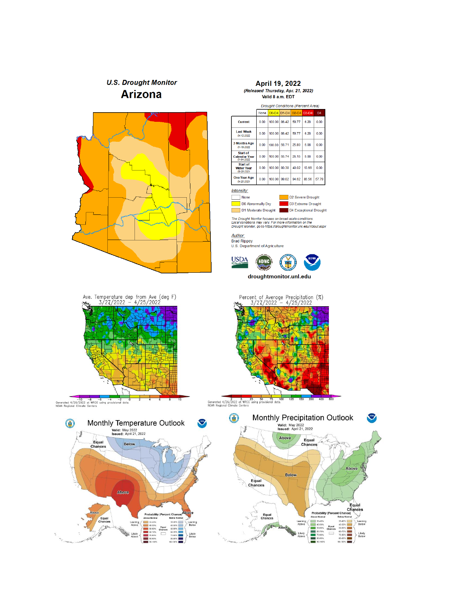# **U.S. Drought Monitor Arizona**



## April 19, 2022 Released Thursday, Apr. 21, 2022)<br>Valid 8 a.m. EDT

**Drought Conditions (Percent Area)** None 00-D4 D1-D4 D2-D4 D3-D4 D4 Current  $0.00$  $\vert$ 100.00 $\vert$ 86.42  $\vert$  59.77  $\vert$  6.28  $0.00$ Last Week<br>04-12-2022  $0.00$ 100.00 86.42 59.77  $6.28$  $0.00$ 3 Months Ago  $0.00$  $\frac{10000}{1000}$  $56.71$  25.80 5.08  $0.00$ **Start of**  $55.74$  $0.00$ 100.00  $26.15$  $5.08$  $0.00$ Calendar Year Start of<br>Water Year<br>09-28-2021  $0.00$  $100.00$ 80.38 40.02 13.69  $0.00$ One Year Ago<br>
04-20-2021  $0.00\,$ 100.00 99.02 94.62 86.56 57.79



The Drought Monitor focuses on broad-scale conditions.<br>Local conditions may vary. For more information on the<br>Drought Monitor, go to https://droughtmonitor.unl.edu/About.aspx

Author: Brad Rippey<br>U.S. Department of Agriculture





 $\begin{array}{c|cccc}\n & -10 & -8 & -6 & -4 & -2 \\
\hline\n\text{Conerated } 4/26/2022 & \text{of WRC} \text{ using provisional data} \\
\text{NOAA Regional Climate Centers}\n\end{array}$